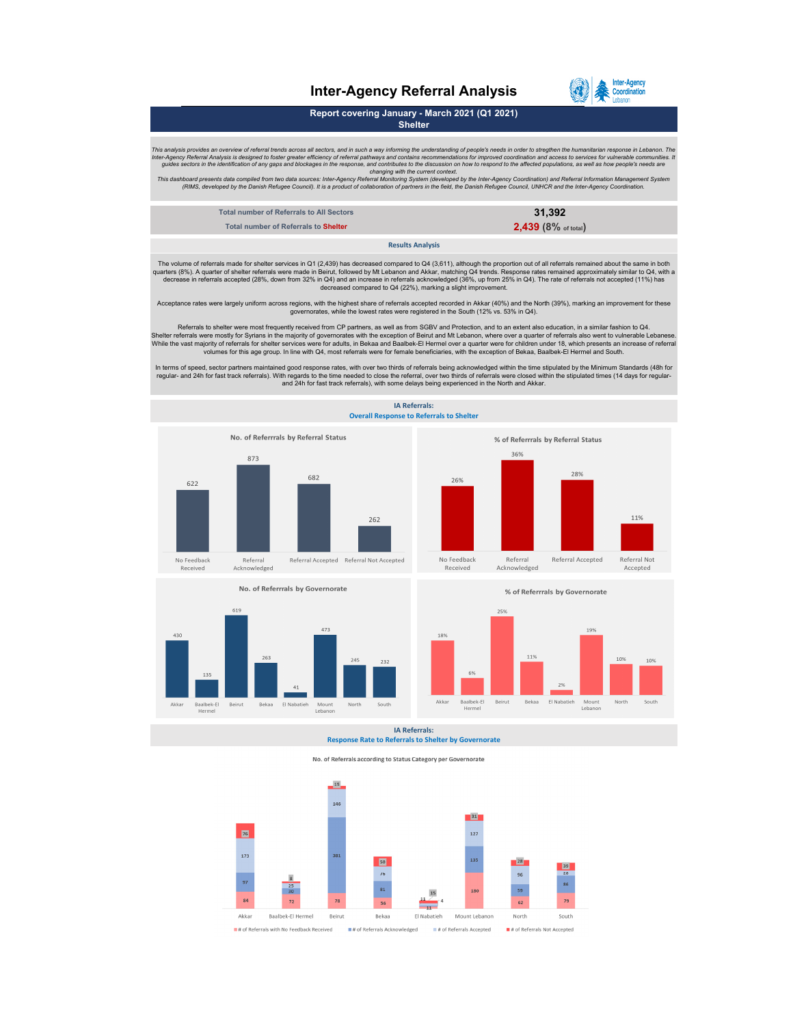## **Inter-Agency Referral Analysis**



**Report covering January - March 2021 (Q1 2021) Shelter**

This analysis provides an overview of referral trends across all sectors, and in such a way informing the understanding of people's needs in order to stregthen the humanitarian response in Lebanon. The humanitarian respons

| Total number of Referrals to All Sectors | 31.392                           |
|------------------------------------------|----------------------------------|
| Total number of Referrals to Shelter     | $2,439$ $(8\% \text{ of total})$ |
|                                          |                                  |
| <b>Results Analysis</b>                  |                                  |

The volume of referrals made for shelter services in Q1 (2,439) has decreased compared to Q4 (3,611), although the proportion out of all referrals remained about the same in both<br>quarters (8%). A quarter of shelter referra

Acceptance rates were largely uniform across regions, with the highest share of referrals accepted recorded in Akkar (40%) and the North (39%), marking an improvement for these<br>governorates, while the lowest rates were reg

.9) Referrals to shelter were most frequently received from CP partners, as well as from SGBV and Protection, and to an extent also education, in a similar fashion to Q4.<br>Shelter referrals were mostly for Syrians in the m

In terms of speed, sector partners maintained good response rates, with over two thirds of referrals being acknowledged within the time stipulated by the Minimum Standards (48h for<br>regular- and 24h for fast track referrals

**IA Referrals:**





% of Referrrals by Governorate



**IA Referrals: Response Rate to Referrals to Shelter by Governorate**

No. of Referrals according to Status Category per Governorate

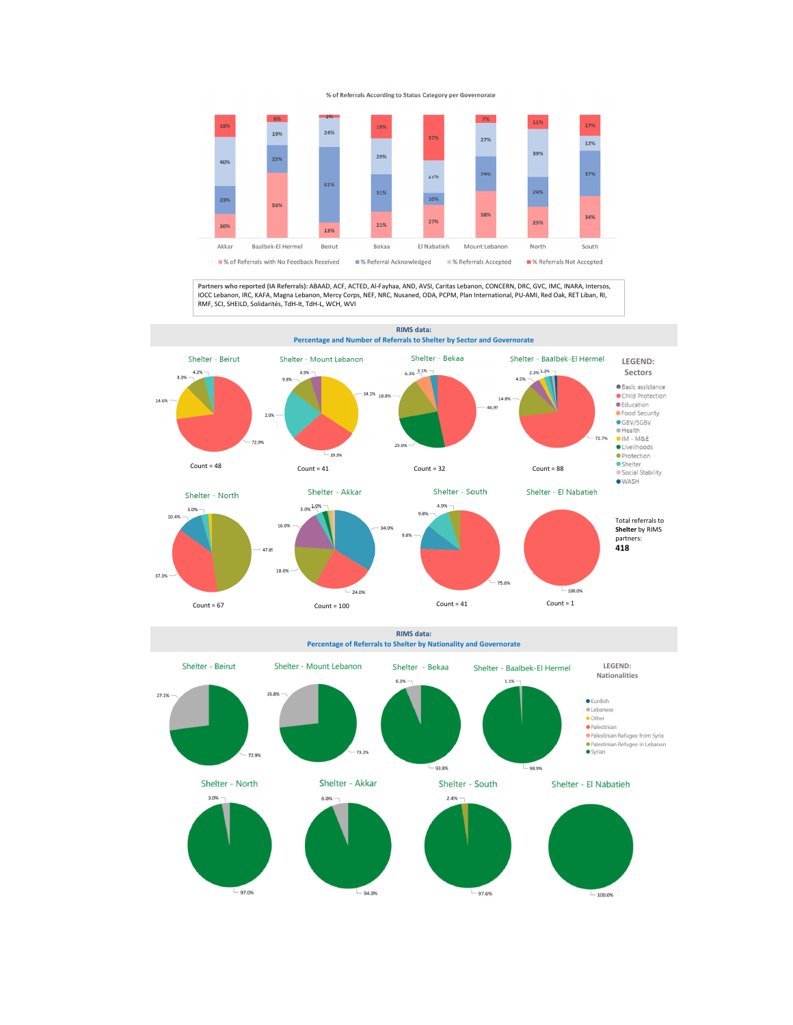% of Referrals According to Status Category per Governorate



**Partners who reported (IA Referrals):** ABAAD, ACF, ACTED, Al‐Fayhaa, AND, AVSI, Caritas Lebanon, CONCERN, DRC, GVC, IMC, INARA, Intersos, IOCC Lebanon, IRC, KAFA, Magna Lebanon, Mercy Corps, NEF, NRC, Nusaned, ODA, PCPM, Plan International, PU-AMI, Red Oak, RET Liban, RI,<br>RMF, SCI, SHEILD, Solidarités, TdH-It, TdH-L, WCH, WVI



**RIMS data:**

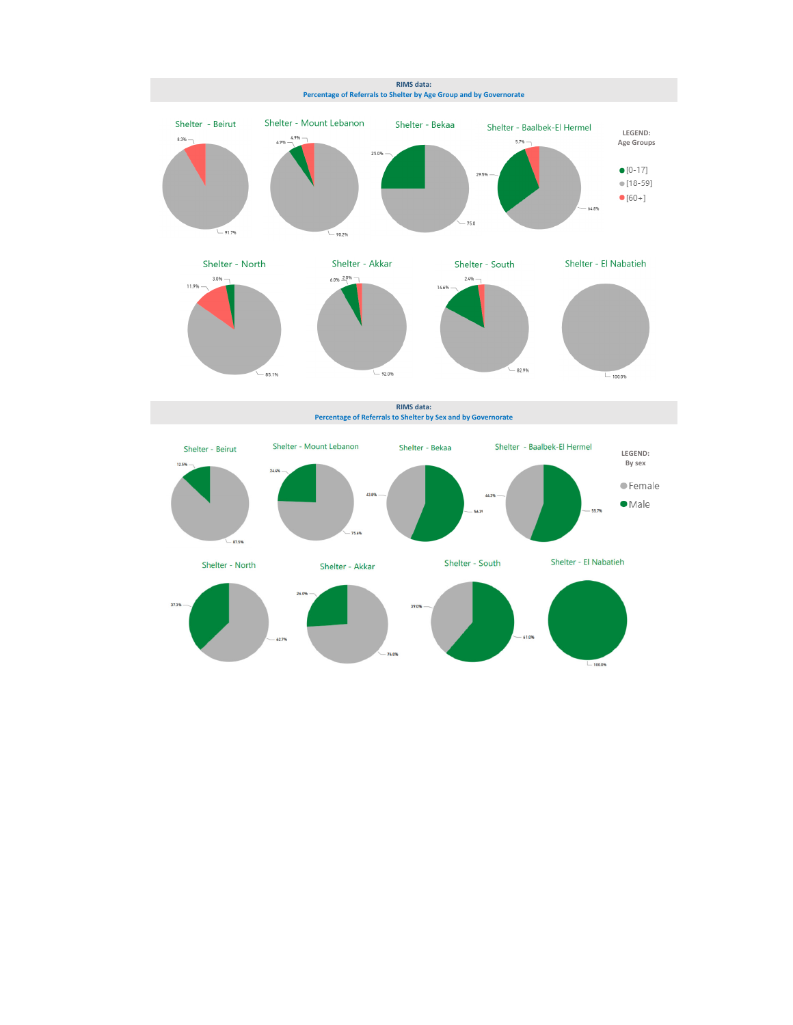



37.3%

 $-87.5%$ 



26.08

62.7%

Shelter - Akkar

74.0%





 $\Box$  100.0%